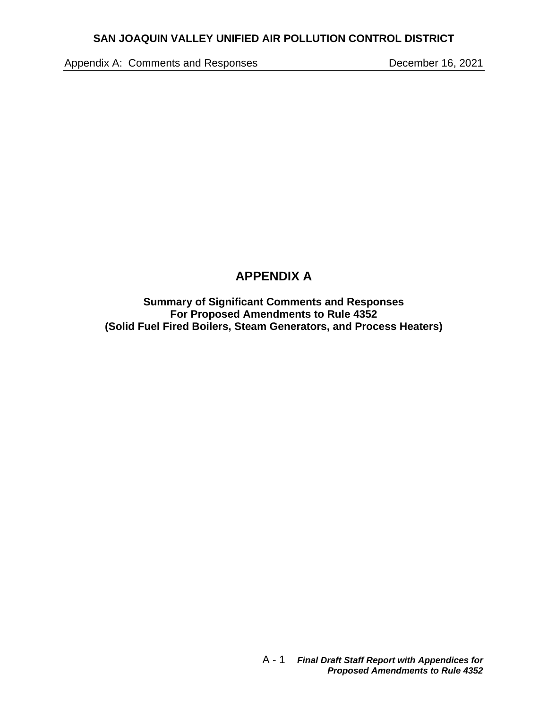Appendix A: Comments and Responses December 16, 2021

# **APPENDIX A**

**Summary of Significant Comments and Responses For Proposed Amendments to Rule 4352 (Solid Fuel Fired Boilers, Steam Generators, and Process Heaters)**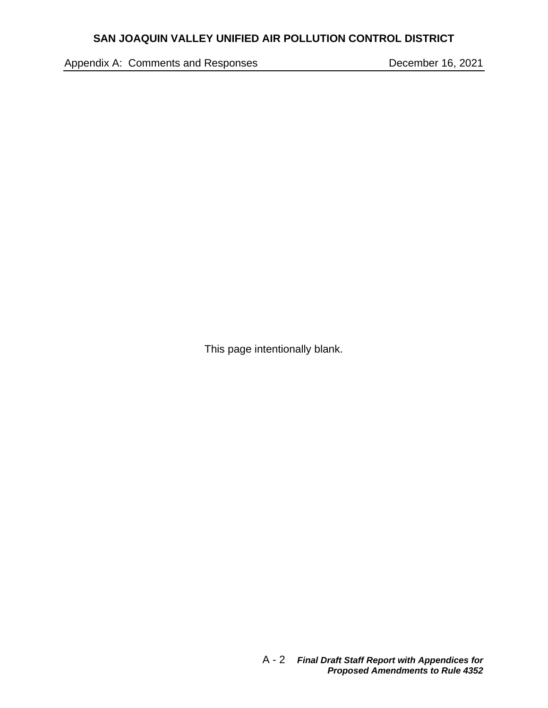Appendix A: Comments and Responses December 16, 2021

This page intentionally blank.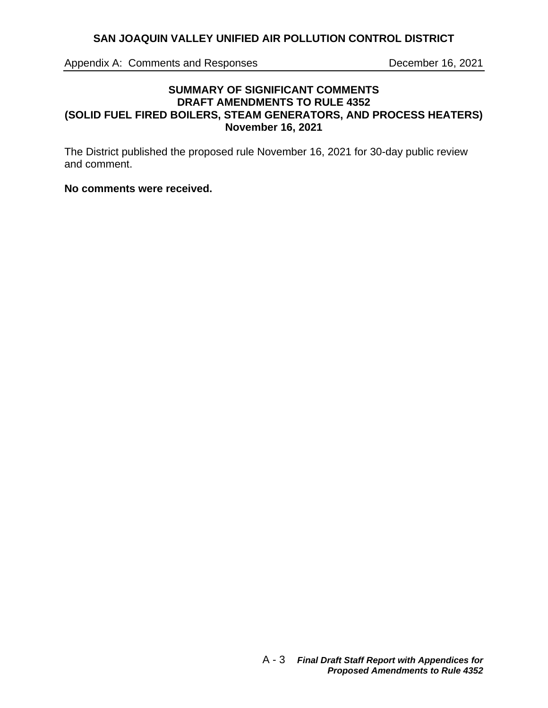Appendix A: Comments and Responses December 16, 2021

#### **SUMMARY OF SIGNIFICANT COMMENTS DRAFT AMENDMENTS TO RULE 4352 (SOLID FUEL FIRED BOILERS, STEAM GENERATORS, AND PROCESS HEATERS) November 16, 2021**

The District published the proposed rule November 16, 2021 for 30-day public review and comment.

**No comments were received.**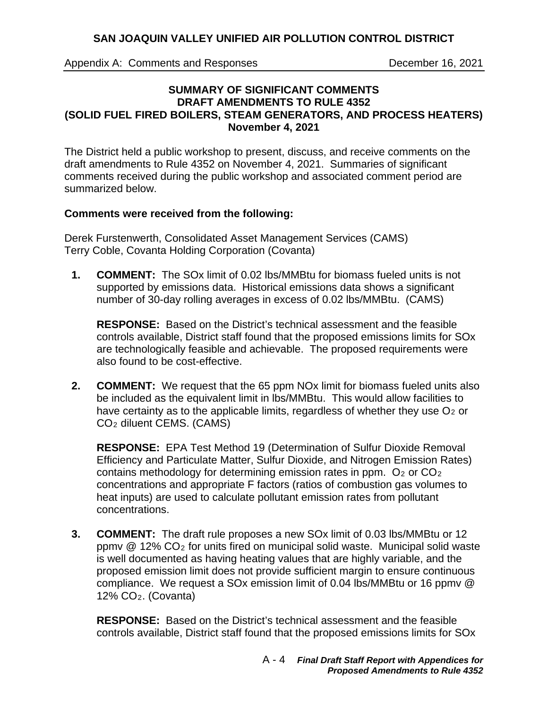Appendix A: Comments and Responses December 16, 2021

#### **SUMMARY OF SIGNIFICANT COMMENTS DRAFT AMENDMENTS TO RULE 4352 (SOLID FUEL FIRED BOILERS, STEAM GENERATORS, AND PROCESS HEATERS) November 4, 2021**

The District held a public workshop to present, discuss, and receive comments on the draft amendments to Rule 4352 on November 4, 2021. Summaries of significant comments received during the public workshop and associated comment period are summarized below.

#### **Comments were received from the following:**

Derek Furstenwerth, Consolidated Asset Management Services (CAMS) Terry Coble, Covanta Holding Corporation (Covanta)

**1. COMMENT:** The SOx limit of 0.02 lbs/MMBtu for biomass fueled units is not supported by emissions data. Historical emissions data shows a significant number of 30-day rolling averages in excess of 0.02 lbs/MMBtu. (CAMS)

**RESPONSE:** Based on the District's technical assessment and the feasible controls available, District staff found that the proposed emissions limits for SOx are technologically feasible and achievable. The proposed requirements were also found to be cost-effective.

**2. COMMENT:** We request that the 65 ppm NOx limit for biomass fueled units also be included as the equivalent limit in lbs/MMBtu. This would allow facilities to have certainty as to the applicable limits, regardless of whether they use  $O<sub>2</sub>$  or CO2 diluent CEMS. (CAMS)

**RESPONSE:** EPA Test Method 19 (Determination of Sulfur Dioxide Removal Efficiency and Particulate Matter, Sulfur Dioxide, and Nitrogen Emission Rates) contains methodology for determining emission rates in ppm.  $O_2$  or  $CO_2$ concentrations and appropriate F factors (ratios of combustion gas volumes to heat inputs) are used to calculate pollutant emission rates from pollutant concentrations.

**3. COMMENT:** The draft rule proposes a new SOx limit of 0.03 lbs/MMBtu or 12 ppmy  $@$  12%  $CO<sub>2</sub>$  for units fired on municipal solid waste. Municipal solid waste is well documented as having heating values that are highly variable, and the proposed emission limit does not provide sufficient margin to ensure continuous compliance. We request a SOx emission limit of 0.04 lbs/MMBtu or 16 ppmv @  $12\%$  CO<sub>2</sub>. (Covanta)

**RESPONSE:** Based on the District's technical assessment and the feasible controls available, District staff found that the proposed emissions limits for SOx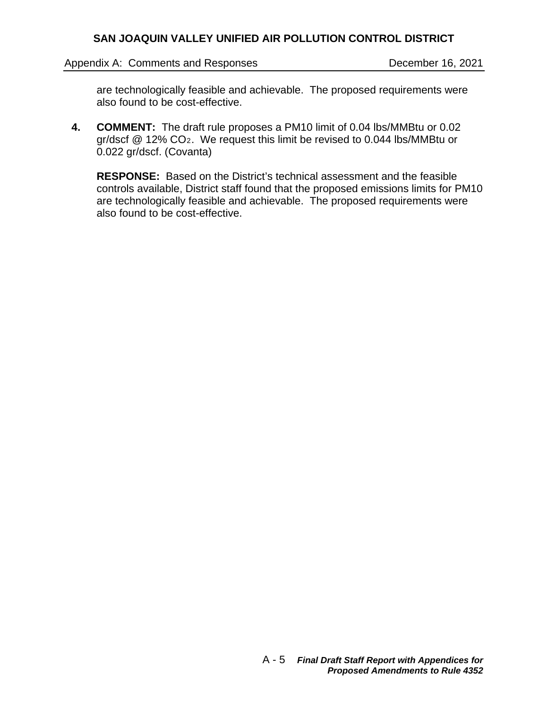#### Appendix A: Comments and Responses December 16, 2021

are technologically feasible and achievable. The proposed requirements were also found to be cost-effective.

**4. COMMENT:** The draft rule proposes a PM10 limit of 0.04 lbs/MMBtu or 0.02 gr/dscf @ 12% CO2. We request this limit be revised to 0.044 lbs/MMBtu or 0.022 gr/dscf. (Covanta)

**RESPONSE:** Based on the District's technical assessment and the feasible controls available, District staff found that the proposed emissions limits for PM10 are technologically feasible and achievable. The proposed requirements were also found to be cost-effective.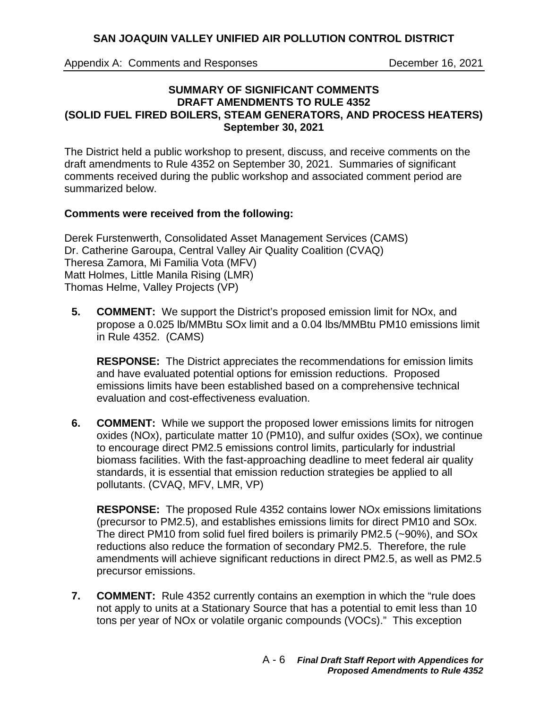Appendix A: Comments and Responses December 16, 2021

#### **SUMMARY OF SIGNIFICANT COMMENTS DRAFT AMENDMENTS TO RULE 4352 (SOLID FUEL FIRED BOILERS, STEAM GENERATORS, AND PROCESS HEATERS) September 30, 2021**

The District held a public workshop to present, discuss, and receive comments on the draft amendments to Rule 4352 on September 30, 2021. Summaries of significant comments received during the public workshop and associated comment period are summarized below.

## **Comments were received from the following:**

Derek Furstenwerth, Consolidated Asset Management Services (CAMS) Dr. Catherine Garoupa, Central Valley Air Quality Coalition (CVAQ) Theresa Zamora, Mi Familia Vota (MFV) Matt Holmes, Little Manila Rising (LMR) Thomas Helme, Valley Projects (VP)

**5. COMMENT:** We support the District's proposed emission limit for NOx, and propose a 0.025 lb/MMBtu SOx limit and a 0.04 lbs/MMBtu PM10 emissions limit in Rule 4352. (CAMS)

**RESPONSE:** The District appreciates the recommendations for emission limits and have evaluated potential options for emission reductions. Proposed emissions limits have been established based on a comprehensive technical evaluation and cost-effectiveness evaluation.

**6. COMMENT:** While we support the proposed lower emissions limits for nitrogen oxides (NOx), particulate matter 10 (PM10), and sulfur oxides (SOx), we continue to encourage direct PM2.5 emissions control limits, particularly for industrial biomass facilities. With the fast-approaching deadline to meet federal air quality standards, it is essential that emission reduction strategies be applied to all pollutants. (CVAQ, MFV, LMR, VP)

**RESPONSE:** The proposed Rule 4352 contains lower NOx emissions limitations (precursor to PM2.5), and establishes emissions limits for direct PM10 and SOx. The direct PM10 from solid fuel fired boilers is primarily PM2.5 (~90%), and SOx reductions also reduce the formation of secondary PM2.5. Therefore, the rule amendments will achieve significant reductions in direct PM2.5, as well as PM2.5 precursor emissions.

**7. COMMENT:** Rule 4352 currently contains an exemption in which the "rule does not apply to units at a Stationary Source that has a potential to emit less than 10 tons per year of NOx or volatile organic compounds (VOCs)." This exception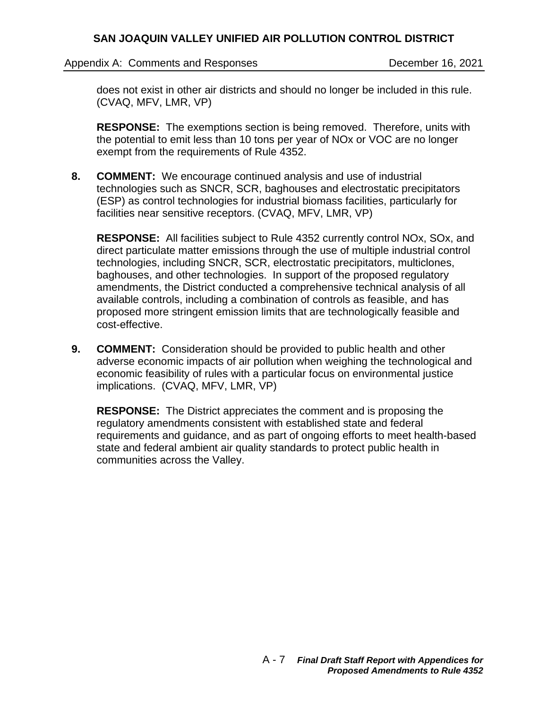Appendix A: Comments and Responses December 16, 2021

does not exist in other air districts and should no longer be included in this rule. (CVAQ, MFV, LMR, VP)

**RESPONSE:** The exemptions section is being removed. Therefore, units with the potential to emit less than 10 tons per year of NOx or VOC are no longer exempt from the requirements of Rule 4352.

**8. COMMENT:** We encourage continued analysis and use of industrial technologies such as SNCR, SCR, baghouses and electrostatic precipitators (ESP) as control technologies for industrial biomass facilities, particularly for facilities near sensitive receptors. (CVAQ, MFV, LMR, VP)

**RESPONSE:** All facilities subject to Rule 4352 currently control NOx, SOx, and direct particulate matter emissions through the use of multiple industrial control technologies, including SNCR, SCR, electrostatic precipitators, multiclones, baghouses, and other technologies. In support of the proposed regulatory amendments, the District conducted a comprehensive technical analysis of all available controls, including a combination of controls as feasible, and has proposed more stringent emission limits that are technologically feasible and cost-effective.

**9. COMMENT:** Consideration should be provided to public health and other adverse economic impacts of air pollution when weighing the technological and economic feasibility of rules with a particular focus on environmental justice implications. (CVAQ, MFV, LMR, VP)

**RESPONSE:** The District appreciates the comment and is proposing the regulatory amendments consistent with established state and federal requirements and guidance, and as part of ongoing efforts to meet health-based state and federal ambient air quality standards to protect public health in communities across the Valley.